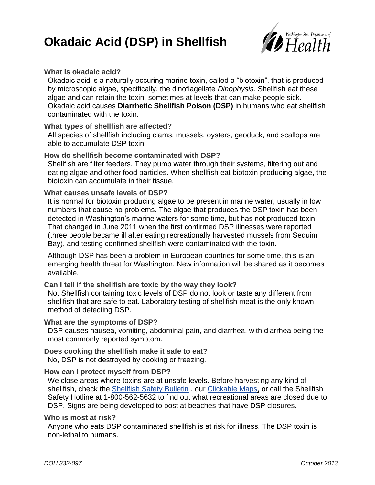

## **What is okadaic acid?**

Okadaic acid is a naturally occuring marine toxin, called a "biotoxin", that is produced by microscopic algae, specifically, the dinoflagellate *Dinophysis*. Shellfish eat these algae and can retain the toxin, sometimes at levels that can make people sick. Okadaic acid causes **Diarrhetic Shellfish Poison (DSP)** in humans who eat shellfish contaminated with the toxin.

### **What types of shellfish are affected?**

All species of shellfish including clams, mussels, oysters, geoduck, and scallops are able to accumulate DSP toxin.

### **How do shellfish become contaminated with DSP?**

Shellfish are filter feeders. They pump water through their systems, filtering out and eating algae and other food particles. When shellfish eat biotoxin producing algae, the biotoxin can accumulate in their tissue.

### **What causes unsafe levels of DSP?**

It is normal for biotoxin producing algae to be present in marine water, usually in low numbers that cause no problems. The algae that produces the DSP toxin has been detected in Washington's marine waters for some time, but has not produced toxin. That changed in June 2011 when the first confirmed DSP illnesses were reported (three people became ill after eating recreationally harvested mussels from Sequim Bay), and testing confirmed shellfish were contaminated with the toxin.

Although DSP has been a problem in European countries for some time, this is an emerging health threat for Washington. New information will be shared as it becomes available.

# **Can I tell if the shellfish are toxic by the way they look?**

No. Shellfish containing toxic levels of DSP do not look or taste any different from shellfish that are safe to eat. Laboratory testing of shellfish meat is the only known method of detecting DSP.

### **What are the symptoms of DSP?**

DSP causes nausea, vomiting, abdominal pain, and diarrhea, with diarrhea being the most commonly reported symptom.

# **Does cooking the shellfish make it safe to eat?**

No, DSP is not destroyed by cooking or freezing.

### **How can I protect myself from DSP?**

We close areas where toxins are at unsafe levels. Before harvesting any kind of shellfish, check the [Shellfish Safety](http://www4.doh.wa.gov/gis/mogifs/biotoxin.htm) Bulletin , our [Clickable Maps,](http://www.doh.wa.lcl/shellfishsafety.htm) or call the Shellfish Safety Hotline at 1-800-562-5632 to find out what recreational areas are closed due to DSP. Signs are being developed to post at beaches that have DSP closures.

### **Who is most at risk?**

Anyone who eats DSP contaminated shellfish is at risk for illness. The DSP toxin is non-lethal to humans.